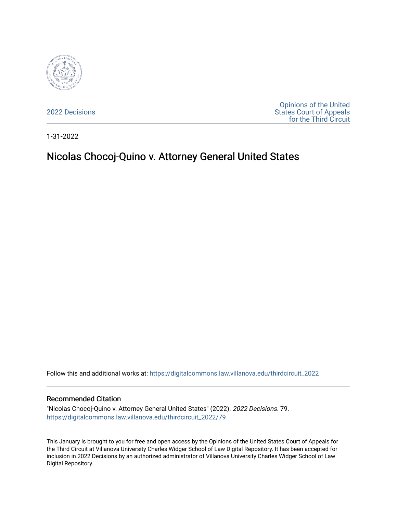

[2022 Decisions](https://digitalcommons.law.villanova.edu/thirdcircuit_2022)

[Opinions of the United](https://digitalcommons.law.villanova.edu/thirdcircuit)  [States Court of Appeals](https://digitalcommons.law.villanova.edu/thirdcircuit)  [for the Third Circuit](https://digitalcommons.law.villanova.edu/thirdcircuit) 

1-31-2022

# Nicolas Chocoj-Quino v. Attorney General United States

Follow this and additional works at: [https://digitalcommons.law.villanova.edu/thirdcircuit\\_2022](https://digitalcommons.law.villanova.edu/thirdcircuit_2022?utm_source=digitalcommons.law.villanova.edu%2Fthirdcircuit_2022%2F79&utm_medium=PDF&utm_campaign=PDFCoverPages) 

#### Recommended Citation

"Nicolas Chocoj-Quino v. Attorney General United States" (2022). 2022 Decisions. 79. [https://digitalcommons.law.villanova.edu/thirdcircuit\\_2022/79](https://digitalcommons.law.villanova.edu/thirdcircuit_2022/79?utm_source=digitalcommons.law.villanova.edu%2Fthirdcircuit_2022%2F79&utm_medium=PDF&utm_campaign=PDFCoverPages)

This January is brought to you for free and open access by the Opinions of the United States Court of Appeals for the Third Circuit at Villanova University Charles Widger School of Law Digital Repository. It has been accepted for inclusion in 2022 Decisions by an authorized administrator of Villanova University Charles Widger School of Law Digital Repository.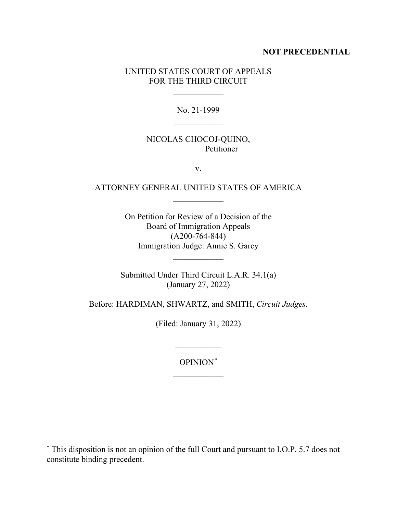#### **NOT PRECEDENTIAL**

#### UNITED STATES COURT OF APPEALS FOR THE THIRD CIRCUIT

 $\frac{1}{2}$ 

No. 21-1999  $\frac{1}{2}$ 

### NICOLAS CHOCOJ-QUINO, Petitioner

v.

## ATTORNEY GENERAL UNITED STATES OF AMERICA  $\overline{\phantom{a}}$

On Petition for Review of a Decision of the Board of Immigration Appeals (A200-764-844) Immigration Judge: Annie S. Garcy

 $\frac{1}{2}$ 

Submitted Under Third Circuit L.A.R. 34.1(a) (January 27, 2022)

Before: HARDIMAN, SHWARTZ, and SMITH, *Circuit Judges*.

(Filed: January 31, 2022)

 $\overline{\phantom{a}}$  ,  $\overline{\phantom{a}}$  ,  $\overline{\phantom{a}}$  ,  $\overline{\phantom{a}}$  ,  $\overline{\phantom{a}}$  ,  $\overline{\phantom{a}}$  ,  $\overline{\phantom{a}}$  ,  $\overline{\phantom{a}}$  ,  $\overline{\phantom{a}}$  ,  $\overline{\phantom{a}}$  ,  $\overline{\phantom{a}}$  ,  $\overline{\phantom{a}}$  ,  $\overline{\phantom{a}}$  ,  $\overline{\phantom{a}}$  ,  $\overline{\phantom{a}}$  ,  $\overline{\phantom{a}}$ 

OPINION\*  $\frac{1}{2}$ 

<sup>\*</sup> This disposition is not an opinion of the full Court and pursuant to I.O.P. 5.7 does not constitute binding precedent.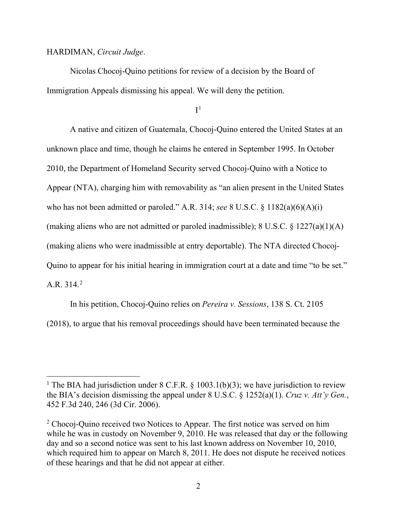#### HARDIMAN, *Circuit Judge*.

Nicolas Chocoj-Quino petitions for review of a decision by the Board of Immigration Appeals dismissing his appeal. We will deny the petition.

 $I<sup>1</sup>$ 

A native and citizen of Guatemala, Chocoj-Quino entered the United States at an unknown place and time, though he claims he entered in September 1995. In October 2010, the Department of Homeland Security served Chocoj-Quino with a Notice to Appear (NTA), charging him with removability as "an alien present in the United States who has not been admitted or paroled." A.R. 314; *see* 8 U.S.C. § 1182(a)(6)(A)(i) (making aliens who are not admitted or paroled inadmissible); 8 U.S.C.  $\S$  1227(a)(1)(A) (making aliens who were inadmissible at entry deportable). The NTA directed Chocoj-Quino to appear for his initial hearing in immigration court at a date and time "to be set." A.R. 314.2

In his petition, Chocoj-Quino relies on *Pereira v. Sessions*, 138 S. Ct. 2105 (2018), to argue that his removal proceedings should have been terminated because the

<sup>&</sup>lt;sup>1</sup> The BIA had jurisdiction under 8 C.F.R. § 1003.1(b)(3); we have jurisdiction to review the BIA's decision dismissing the appeal under 8 U.S.C. § 1252(a)(1). *Cruz v. Att'y Gen.*, 452 F.3d 240, 246 (3d Cir. 2006).

<sup>&</sup>lt;sup>2</sup> Chocoj-Quino received two Notices to Appear. The first notice was served on him while he was in custody on November 9, 2010. He was released that day or the following day and so a second notice was sent to his last known address on November 10, 2010, which required him to appear on March 8, 2011. He does not dispute he received notices of these hearings and that he did not appear at either.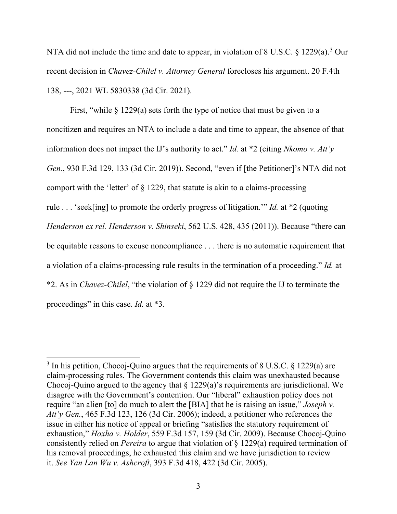NTA did not include the time and date to appear, in violation of 8 U.S.C. § 1229(a).<sup>3</sup> Our recent decision in *Chavez-Chilel v. Attorney General* forecloses his argument. 20 F.4th 138, ---, 2021 WL 5830338 (3d Cir. 2021).

First, "while § 1229(a) sets forth the type of notice that must be given to a noncitizen and requires an NTA to include a date and time to appear, the absence of that information does not impact the IJ's authority to act." *Id.* at \*2 (citing *Nkomo v. Att'y Gen.*, 930 F.3d 129, 133 (3d Cir. 2019)). Second, "even if [the Petitioner]'s NTA did not comport with the 'letter' of  $\S$  1229, that statute is akin to a claims-processing rule . . . 'seek[ing] to promote the orderly progress of litigation.'" *Id.* at \*2 (quoting *Henderson ex rel. Henderson v. Shinseki*, 562 U.S. 428, 435 (2011)). Because "there can be equitable reasons to excuse noncompliance . . . there is no automatic requirement that a violation of a claims-processing rule results in the termination of a proceeding." *Id.* at \*2. As in *Chavez-Chilel*, "the violation of § 1229 did not require the IJ to terminate the proceedings" in this case. *Id.* at \*3.

 $3$  In his petition, Chocoj-Quino argues that the requirements of 8 U.S.C. § 1229(a) are claim-processing rules. The Government contends this claim was unexhausted because Chocoj-Quino argued to the agency that  $\S 1229(a)$ 's requirements are jurisdictional. We disagree with the Government's contention. Our "liberal" exhaustion policy does not require "an alien [to] do much to alert the [BIA] that he is raising an issue," *Joseph v. Att'y Gen.*, 465 F.3d 123, 126 (3d Cir. 2006); indeed, a petitioner who references the issue in either his notice of appeal or briefing "satisfies the statutory requirement of exhaustion," *Hoxha v. Holder*, 559 F.3d 157, 159 (3d Cir. 2009). Because Chocoj-Quino consistently relied on *Pereira* to argue that violation of § 1229(a) required termination of his removal proceedings, he exhausted this claim and we have jurisdiction to review it. *See Yan Lan Wu v. Ashcroft*, 393 F.3d 418, 422 (3d Cir. 2005).